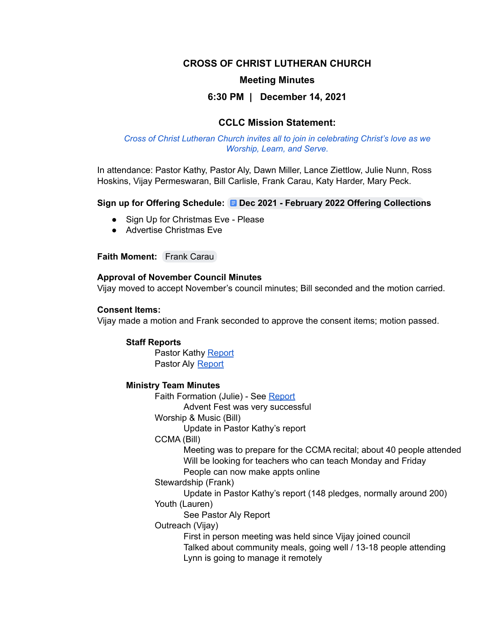# **CROSS OF CHRIST LUTHERAN CHURCH**

### **Meeting Minutes**

# **6:30 PM | December 14, 2021**

# **CCLC Mission Statement:**

#### *Cross of Christ Lutheran Church invites all to join in celebrating Christ's love as we Worship, Learn, and Serve.*

In attendance: Pastor Kathy, Pastor Aly, Dawn Miller, Lance Ziettlow, Julie Nunn, Ross Hoskins, Vijay Permeswaran, Bill Carlisle, Frank Carau, Katy Harder, Mary Peck.

#### **Sign up for Offering Schedule: Dec 2021 - February 2022 Offering [Collection](https://docs.google.com/document/d/1zNCBLqesGXSCXoNwUEkVKVUrMAnENcT5sBfHu2lniGI/edit)s**

- Sign Up for Christmas Eve Please
- Advertise Christmas Eve

# **Faith Moment:** Frank [Carau](mailto:fcarau@gmail.com)

#### **Approval of November Council Minutes**

Vijay moved to accept November's council minutes; Bill seconded and the motion carried.

#### **Consent Items:**

Vijay made a motion and Frank seconded to approve the consent items; motion passed.

#### **Staff Reports**

Pastor Kathy [Report](https://docs.google.com/document/d/1zZ2e_ZFKfhOEkrVJBFKZOLuCbNrag8uJ/edit) Pastor Aly [Report](https://docs.google.com/document/d/1dI7XszWz_8NWLiSPzpsPJhaoUzdZQzY3B7nVizCiMfk/edit)

#### **Ministry Team Minutes**

Faith Formation (Julie) - See [Report](https://docs.google.com/document/d/1LZWv9tI3wywN8OFk2c7dTJotlb4Klfx8/edit)

Advent Fest was very successful

Worship & Music (Bill)

Update in Pastor Kathy's report

CCMA (Bill)

Meeting was to prepare for the CCMA recital; about 40 people attended Will be looking for teachers who can teach Monday and Friday

People can now make appts online

Stewardship (Frank)

Update in Pastor Kathy's report (148 pledges, normally around 200) Youth (Lauren)

See Pastor Aly Report

Outreach (Vijay)

First in person meeting was held since Vijay joined council Talked about community meals, going well / 13-18 people attending Lynn is going to manage it remotely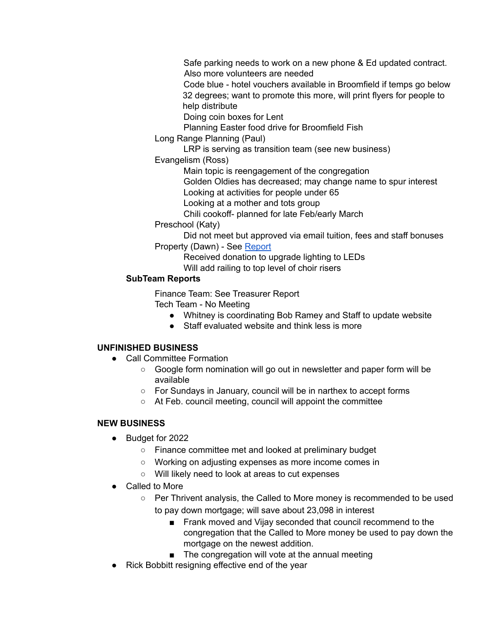Safe parking needs to work on a new phone & Ed updated contract. Also more volunteers are needed

Code blue - hotel vouchers available in Broomfield if temps go below 32 degrees; want to promote this more, will print flyers for people to help distribute

Doing coin boxes for Lent

Planning Easter food drive for Broomfield Fish

Long Range Planning (Paul)

LRP is serving as transition team (see new business)

Evangelism (Ross)

Main topic is reengagement of the congregation

Golden Oldies has decreased; may change name to spur interest

Looking at activities for people under 65

Looking at a mother and tots group

Chili cookoff- planned for late Feb/early March

Preschool (Katy)

Did not meet but approved via email tuition, fees and staff bonuses Property (Dawn) - See [Report](https://docs.google.com/document/d/10EA_3UGTtc4xJGzsFEpPNwpt0vI1mTl1D9xips2vNrY/edit)

Received donation to upgrade lighting to LEDs Will add railing to top level of choir risers

# **SubTeam Reports**

Finance Team: See Treasurer Report

Tech Team - No Meeting

- Whitney is coordinating Bob Ramey and Staff to update website
- Staff evaluated website and think less is more

# **UNFINISHED BUSINESS**

- Call Committee Formation
	- Google form nomination will go out in newsletter and paper form will be available
	- For Sundays in January, council will be in narthex to accept forms
	- At Feb. council meeting, council will appoint the committee

# **NEW BUSINESS**

- Budget for 2022
	- Finance committee met and looked at preliminary budget
	- Working on adjusting expenses as more income comes in
	- Will likely need to look at areas to cut expenses
- Called to More
	- Per Thrivent analysis, the Called to More money is recommended to be used to pay down mortgage; will save about 23,098 in interest
		- Frank moved and Vijay seconded that council recommend to the congregation that the Called to More money be used to pay down the mortgage on the newest addition.
		- The congregation will vote at the annual meeting
- Rick Bobbitt resigning effective end of the year